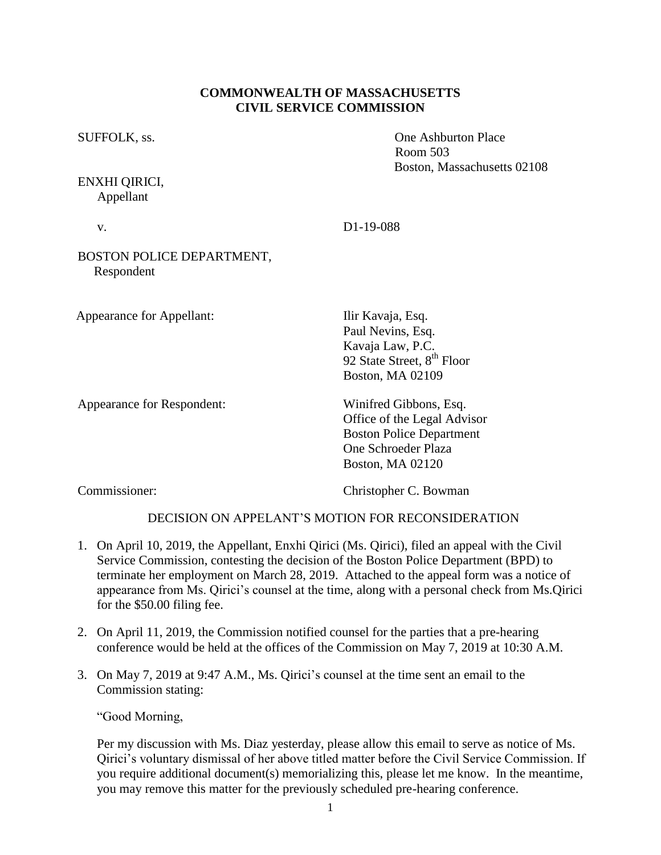## **COMMONWEALTH OF MASSACHUSETTS CIVIL SERVICE COMMISSION**

ENXHI QIRICI, Appellant

SUFFOLK, ss.  $\qquad \qquad \text{One Ashburton Place}$ Room 503 Boston, Massachusetts 02108

| $\sim$ |  |  |
|--------|--|--|

v. D1-19-088

## BOSTON POLICE DEPARTMENT, Respondent

Appearance for Appellant: Ilir Kavaja, Esq.

Appearance for Respondent: Winifred Gibbons, Esq.

Paul Nevins, Esq. Kavaja Law, P.C. 92 State Street, 8<sup>th</sup> Floor Boston, MA 02109

Office of the Legal Advisor Boston Police Department One Schroeder Plaza Boston, MA 02120

Commissioner: Christopher C. Bowman

# DECISION ON APPELANT'S MOTION FOR RECONSIDERATION

- 1. On April 10, 2019, the Appellant, Enxhi Qirici (Ms. Qirici), filed an appeal with the Civil Service Commission, contesting the decision of the Boston Police Department (BPD) to terminate her employment on March 28, 2019. Attached to the appeal form was a notice of appearance from Ms. Qirici's counsel at the time, along with a personal check from Ms.Qirici for the \$50.00 filing fee.
- 2. On April 11, 2019, the Commission notified counsel for the parties that a pre-hearing conference would be held at the offices of the Commission on May 7, 2019 at 10:30 A.M.
- 3. On May 7, 2019 at 9:47 A.M., Ms. Qirici's counsel at the time sent an email to the Commission stating:

"Good Morning,

Per my discussion with Ms. Diaz yesterday, please allow this email to serve as notice of Ms. Qirici's voluntary dismissal of her above titled matter before the Civil Service Commission. If you require additional document(s) memorializing this, please let me know. In the meantime, you may remove this matter for the previously scheduled pre-hearing conference.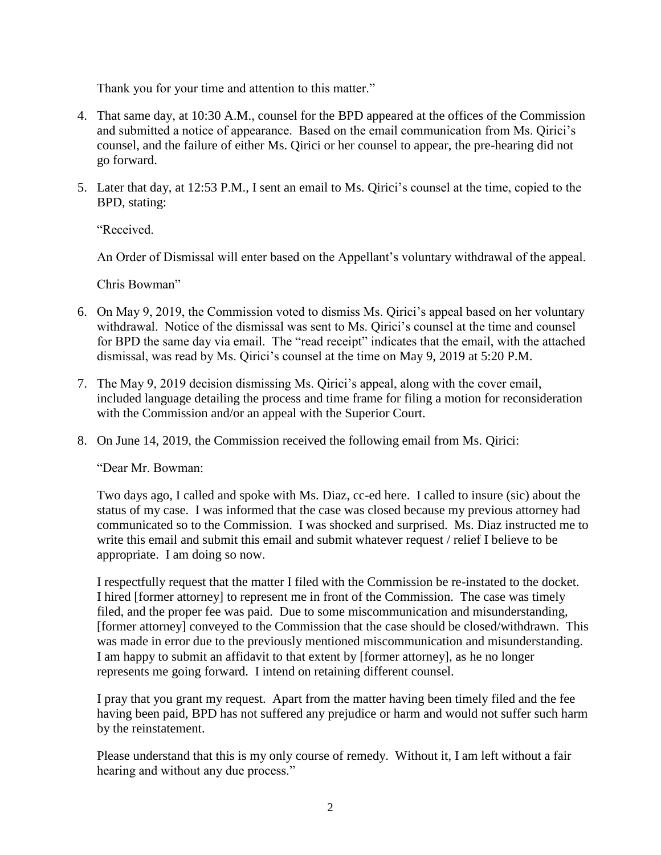Thank you for your time and attention to this matter."

- 4. That same day, at 10:30 A.M., counsel for the BPD appeared at the offices of the Commission and submitted a notice of appearance. Based on the email communication from Ms. Qirici's counsel, and the failure of either Ms. Qirici or her counsel to appear, the pre-hearing did not go forward.
- 5. Later that day, at 12:53 P.M., I sent an email to Ms. Qirici's counsel at the time, copied to the BPD, stating:

"Received.

An Order of Dismissal will enter based on the Appellant's voluntary withdrawal of the appeal.

Chris Bowman"

- 6. On May 9, 2019, the Commission voted to dismiss Ms. Qirici's appeal based on her voluntary withdrawal. Notice of the dismissal was sent to Ms. Qirici's counsel at the time and counsel for BPD the same day via email. The "read receipt" indicates that the email, with the attached dismissal, was read by Ms. Qirici's counsel at the time on May 9, 2019 at 5:20 P.M.
- 7. The May 9, 2019 decision dismissing Ms. Qirici's appeal, along with the cover email, included language detailing the process and time frame for filing a motion for reconsideration with the Commission and/or an appeal with the Superior Court.
- 8. On June 14, 2019, the Commission received the following email from Ms. Qirici:

"Dear Mr. Bowman:

Two days ago, I called and spoke with Ms. Diaz, cc-ed here. I called to insure (sic) about the status of my case. I was informed that the case was closed because my previous attorney had communicated so to the Commission. I was shocked and surprised. Ms. Diaz instructed me to write this email and submit this email and submit whatever request / relief I believe to be appropriate. I am doing so now.

I respectfully request that the matter I filed with the Commission be re-instated to the docket. I hired [former attorney] to represent me in front of the Commission. The case was timely filed, and the proper fee was paid. Due to some miscommunication and misunderstanding, [former attorney] conveyed to the Commission that the case should be closed/withdrawn. This was made in error due to the previously mentioned miscommunication and misunderstanding. I am happy to submit an affidavit to that extent by [former attorney], as he no longer represents me going forward. I intend on retaining different counsel.

I pray that you grant my request. Apart from the matter having been timely filed and the fee having been paid, BPD has not suffered any prejudice or harm and would not suffer such harm by the reinstatement.

Please understand that this is my only course of remedy. Without it, I am left without a fair hearing and without any due process."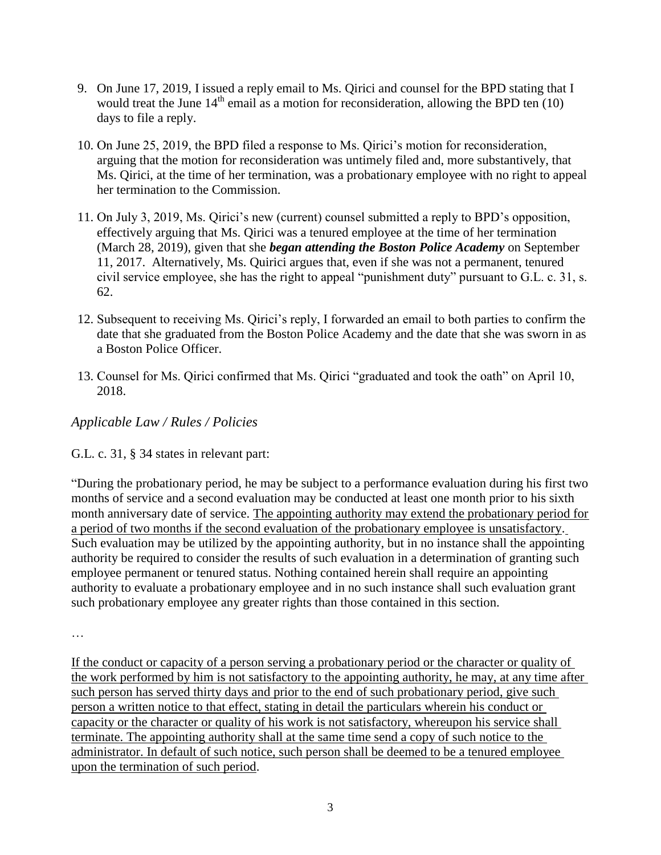- 9. On June 17, 2019, I issued a reply email to Ms. Qirici and counsel for the BPD stating that I would treat the June  $14<sup>th</sup>$  email as a motion for reconsideration, allowing the BPD ten (10) days to file a reply.
- 10. On June 25, 2019, the BPD filed a response to Ms. Qirici's motion for reconsideration, arguing that the motion for reconsideration was untimely filed and, more substantively, that Ms. Qirici, at the time of her termination, was a probationary employee with no right to appeal her termination to the Commission.
- 11. On July 3, 2019, Ms. Qirici's new (current) counsel submitted a reply to BPD's opposition, effectively arguing that Ms. Qirici was a tenured employee at the time of her termination (March 28, 2019), given that she *began attending the Boston Police Academy* on September 11, 2017. Alternatively, Ms. Quirici argues that, even if she was not a permanent, tenured civil service employee, she has the right to appeal "punishment duty" pursuant to G.L. c. 31, s. 62.
- 12. Subsequent to receiving Ms. Qirici's reply, I forwarded an email to both parties to confirm the date that she graduated from the Boston Police Academy and the date that she was sworn in as a Boston Police Officer.
- 13. Counsel for Ms. Qirici confirmed that Ms. Qirici "graduated and took the oath" on April 10, 2018.

# *Applicable Law / Rules / Policies*

# G.L. c. 31, § 34 states in relevant part:

"During the probationary period, he may be subject to a performance evaluation during his first two months of service and a second evaluation may be conducted at least one month prior to his sixth month anniversary date of service. The appointing authority may extend the probationary period for a period of two months if the second evaluation of the probationary employee is unsatisfactory. Such evaluation may be utilized by the appointing authority, but in no instance shall the appointing authority be required to consider the results of such evaluation in a determination of granting such employee permanent or tenured status. Nothing contained herein shall require an appointing authority to evaluate a probationary employee and in no such instance shall such evaluation grant such probationary employee any greater rights than those contained in this section.

…

If the conduct or capacity of a person serving a probationary period or the character or quality of the work performed by him is not satisfactory to the appointing authority, he may, at any time after such person has served thirty days and prior to the end of such probationary period, give such person a written notice to that effect, stating in detail the particulars wherein his conduct or capacity or the character or quality of his work is not satisfactory, whereupon his service shall terminate. The appointing authority shall at the same time send a copy of such notice to the administrator. In default of such notice, such person shall be deemed to be a tenured employee upon the termination of such period.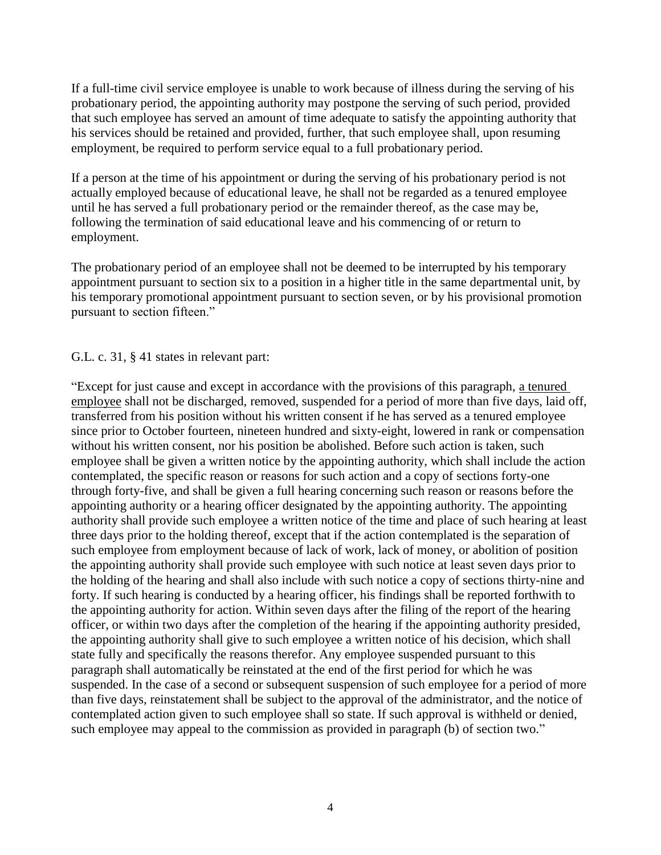If a full-time civil service employee is unable to work because of illness during the serving of his probationary period, the appointing authority may postpone the serving of such period, provided that such employee has served an amount of time adequate to satisfy the appointing authority that his services should be retained and provided, further, that such employee shall, upon resuming employment, be required to perform service equal to a full probationary period.

If a person at the time of his appointment or during the serving of his probationary period is not actually employed because of educational leave, he shall not be regarded as a tenured employee until he has served a full probationary period or the remainder thereof, as the case may be, following the termination of said educational leave and his commencing of or return to employment.

The probationary period of an employee shall not be deemed to be interrupted by his temporary appointment pursuant to section six to a position in a higher title in the same departmental unit, by his temporary promotional appointment pursuant to section seven, or by his provisional promotion pursuant to section fifteen."

#### G.L. c. 31, § 41 states in relevant part:

"Except for just cause and except in accordance with the provisions of this paragraph, a tenured employee shall not be discharged, removed, suspended for a period of more than five days, laid off, transferred from his position without his written consent if he has served as a tenured employee since prior to October fourteen, nineteen hundred and sixty-eight, lowered in rank or compensation without his written consent, nor his position be abolished. Before such action is taken, such employee shall be given a written notice by the appointing authority, which shall include the action contemplated, the specific reason or reasons for such action and a copy of sections forty-one through forty-five, and shall be given a full hearing concerning such reason or reasons before the appointing authority or a hearing officer designated by the appointing authority. The appointing authority shall provide such employee a written notice of the time and place of such hearing at least three days prior to the holding thereof, except that if the action contemplated is the separation of such employee from employment because of lack of work, lack of money, or abolition of position the appointing authority shall provide such employee with such notice at least seven days prior to the holding of the hearing and shall also include with such notice a copy of sections thirty-nine and forty. If such hearing is conducted by a hearing officer, his findings shall be reported forthwith to the appointing authority for action. Within seven days after the filing of the report of the hearing officer, or within two days after the completion of the hearing if the appointing authority presided, the appointing authority shall give to such employee a written notice of his decision, which shall state fully and specifically the reasons therefor. Any employee suspended pursuant to this paragraph shall automatically be reinstated at the end of the first period for which he was suspended. In the case of a second or subsequent suspension of such employee for a period of more than five days, reinstatement shall be subject to the approval of the administrator, and the notice of contemplated action given to such employee shall so state. If such approval is withheld or denied, such employee may appeal to the commission as provided in paragraph (b) of section two."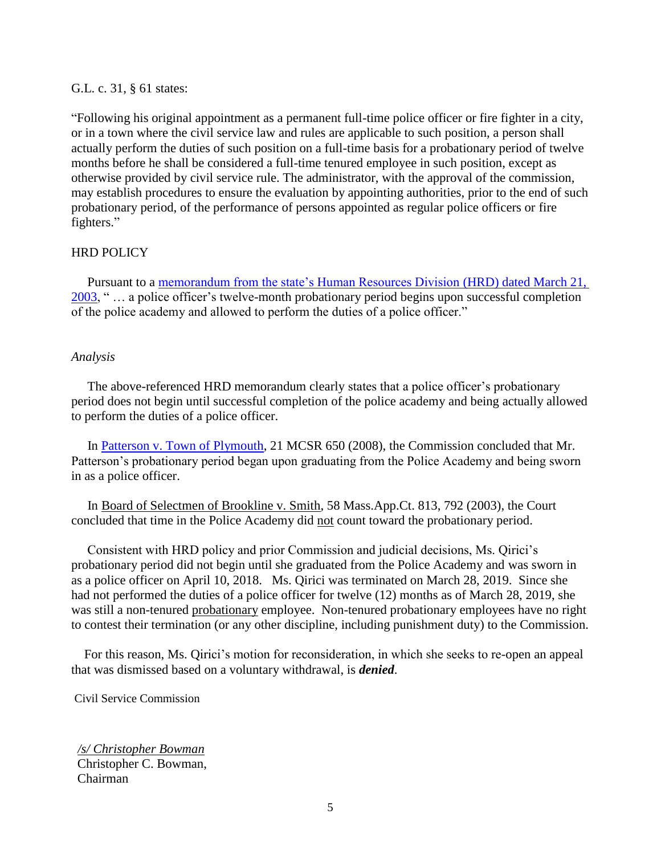## G.L. c. 31, § 61 states:

"Following his original appointment as a permanent full-time police officer or fire fighter in a city, or in a town where the civil service law and rules are applicable to such position, a person shall actually perform the duties of such position on a full-time basis for a probationary period of twelve months before he shall be considered a full-time tenured employee in such position, except as otherwise provided by civil service rule. The administrator, with the approval of the commission, may establish procedures to ensure the evaluation by appointing authorities, prior to the end of such probationary period, of the performance of persons appointed as regular police officers or fire fighters."

#### HRD POLICY

 Pursuant to a [memorandum from the state's Human Resources Division \(HRD\) dated March 21,](https://www.mass.gov/files/documents/2016/07/nz/impact-student-officer-bill.doc?_ga=2.219175705.1233781130.1560798285-542557170.1552248761)   $2003$ , " ... a police officer's twelve-month probationary period begins upon successful completion of the police academy and allowed to perform the duties of a police officer."

#### *Analysis*

 The above-referenced HRD memorandum clearly states that a police officer's probationary period does not begin until successful completion of the police academy and being actually allowed to perform the duties of a police officer.

 In [Patterson v. Town of Plymouth,](https://www.mass.gov/files/documents/2016/07/px/patterson-ralph-112008.pdf) 21 MCSR 650 (2008), the Commission concluded that Mr. Patterson's probationary period began upon graduating from the Police Academy and being sworn in as a police officer.

 In Board of Selectmen of Brookline v. Smith, 58 Mass.App.Ct. 813, 792 (2003), the Court concluded that time in the Police Academy did not count toward the probationary period.

 Consistent with HRD policy and prior Commission and judicial decisions, Ms. Qirici's probationary period did not begin until she graduated from the Police Academy and was sworn in as a police officer on April 10, 2018. Ms. Qirici was terminated on March 28, 2019. Since she had not performed the duties of a police officer for twelve (12) months as of March 28, 2019, she was still a non-tenured probationary employee. Non-tenured probationary employees have no right to contest their termination (or any other discipline, including punishment duty) to the Commission.

 For this reason, Ms. Qirici's motion for reconsideration, in which she seeks to re-open an appeal that was dismissed based on a voluntary withdrawal, is *denied*.

Civil Service Commission

*/s/ Christopher Bowman* Christopher C. Bowman, Chairman